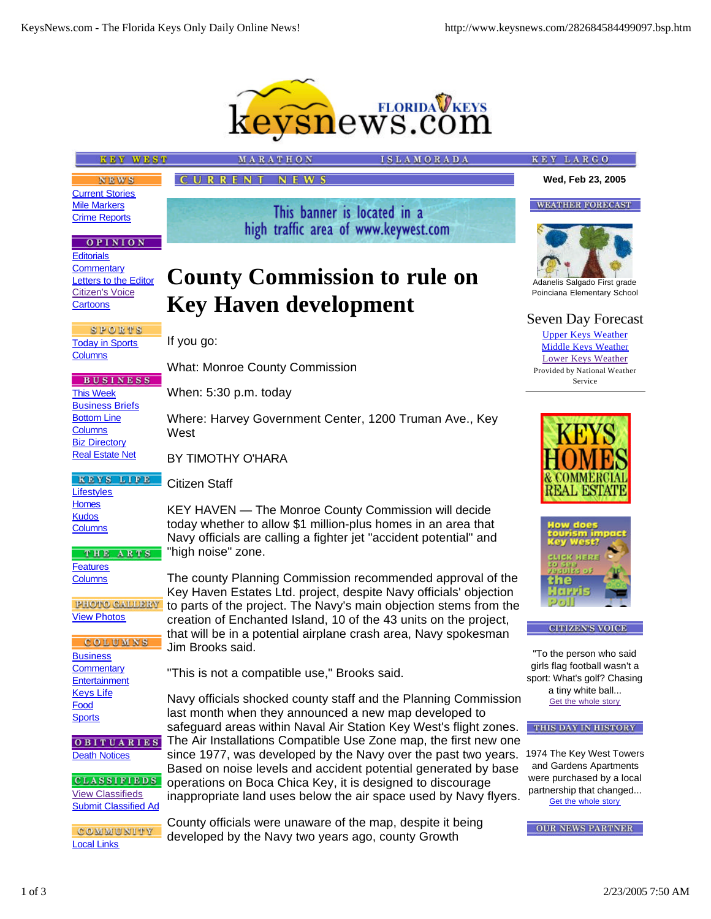

| <b>KEY WEST</b>                                               | MARATHON                                                                                                                               | <b>ISLAMORADA</b> | KEY LARGO                                               |
|---------------------------------------------------------------|----------------------------------------------------------------------------------------------------------------------------------------|-------------------|---------------------------------------------------------|
| <b>NEWS</b>                                                   | CURRENT<br><b>NEWS</b>                                                                                                                 |                   | Wed, Feb 23, 2005                                       |
| <b>Current Stories</b>                                        |                                                                                                                                        |                   |                                                         |
| <b>Mile Markers</b><br><b>Crime Reports</b>                   | This banner is located in a                                                                                                            |                   | <b>WEATHER FORECAST</b>                                 |
| <b>OPINION</b>                                                | high traffic area of www.keywest.com                                                                                                   |                   |                                                         |
| <b>Editorials</b><br>Commentary<br>Letters to the Editor      | <b>County Commission to rule on</b>                                                                                                    |                   | Adanelis Salgado First grade                            |
| <b>Citizen's Voice</b><br>Cartoons                            |                                                                                                                                        |                   | Poinciana Elementary School                             |
|                                                               | <b>Key Haven development</b>                                                                                                           |                   | <b>Seven Day Forecast</b>                               |
| SPORTS<br><b>Today in Sports</b><br><b>Columns</b>            | If you go:                                                                                                                             |                   | <b>Upper Keys Weather</b><br><b>Middle Keys Weather</b> |
|                                                               | <b>What: Monroe County Commission</b>                                                                                                  |                   | Lower Keys Weather<br>Provided by National Weather      |
| <b>BUSINESS</b><br><b>This Week</b><br><b>Business Briefs</b> | When: 5:30 p.m. today                                                                                                                  |                   | Service                                                 |
| <b>Bottom Line</b><br><b>Columns</b>                          | Where: Harvey Government Center, 1200 Truman Ave., Key<br>West                                                                         |                   |                                                         |
| <b>Biz Directory</b>                                          |                                                                                                                                        |                   |                                                         |
| <b>Real Estate Net</b>                                        | BY TIMOTHY O'HARA                                                                                                                      |                   |                                                         |
| KEYS LIFE<br>Lifestyles                                       | Citizen Staff                                                                                                                          |                   | BALBS                                                   |
| <b>Homes</b><br><b>Kudos</b>                                  | KEY HAVEN - The Monroe County Commission will decide                                                                                   |                   |                                                         |
| <b>Columns</b>                                                | today whether to allow \$1 million-plus homes in an area that<br>Navy officials are calling a fighter jet "accident potential" and     |                   | low does                                                |
| THE ARTS                                                      | "high noise" zone.                                                                                                                     |                   | uek her                                                 |
| <b>Features</b><br><b>Columns</b>                             | The county Planning Commission recommended approval of the                                                                             |                   | 9133.<br>me                                             |
| PHOTO GALLERY                                                 | Key Haven Estates Ltd. project, despite Navy officials' objection<br>to parts of the project. The Navy's main objection stems from the |                   |                                                         |
| <b>View Photos</b>                                            | creation of Enchanted Island, 10 of the 43 units on the project,                                                                       |                   |                                                         |
| <b>COLUMNS</b>                                                | that will be in a potential airplane crash area, Navy spokesman<br>Jim Brooks said.                                                    |                   | <b>CITIZEN'S VOICE</b>                                  |
| <b>Business</b>                                               |                                                                                                                                        |                   | "To the person who said<br>girls flag football wasn't a |
| Commentary<br>Entertainment                                   | "This is not a compatible use," Brooks said.                                                                                           |                   | sport: What's golf? Chasing                             |
| <b>Keys Life</b><br>Food                                      | Navy officials shocked county staff and the Planning Commission                                                                        |                   | a tiny white ball<br>Get the whole story                |
| <b>Sports</b>                                                 | last month when they announced a new map developed to<br>safeguard areas within Naval Air Station Key West's flight zones.             |                   | THIS DAY IN HISTORY                                     |
| OBITUARIES                                                    | The Air Installations Compatible Use Zone map, the first new one                                                                       |                   |                                                         |
| <b>Death Notices</b>                                          | since 1977, was developed by the Navy over the past two years.<br>Based on noise levels and accident potential generated by base       |                   | 1974 The Key West Towers<br>and Gardens Apartments      |
| <b>CLASSIFIEDS</b>                                            | operations on Boca Chica Key, it is designed to discourage                                                                             |                   | were purchased by a local<br>partnership that changed   |
| <b>View Classifieds</b><br><b>Submit Classified Ad</b>        | inappropriate land uses below the air space used by Navy flyers.                                                                       |                   | Get the whole story                                     |
| COMMUNITY                                                     | County officials were unaware of the map, despite it being<br>developed by the Naw two years ago, county Growth                        |                   | <b>OUR NEWS PARTNER</b>                                 |

developed by the Navy two years ago, county Growth

1 of 3 2/23/2005 7:50 AM

Local Links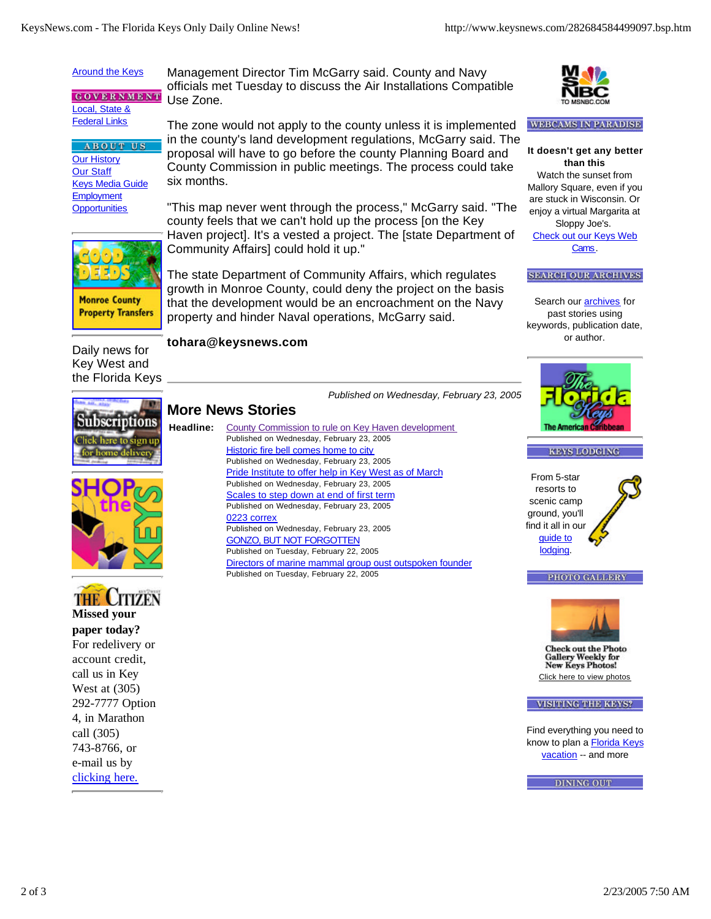## **Around the Keys**

**GOVERNMENT** Local, State & **Federal Links** 

**ABOUT US** Our History Our Staff Keys Media Guide **Employment Opportunities** 

Management Director Tim McGarry said. County and Navy officials met Tuesday to discuss the Air Installations Compatible Use Zone.

The zone would not apply to the county unless it is implemented in the county's land development regulations, McGarry said. The proposal will have to go before the county Planning Board and County Commission in public meetings. The process could take six months.

"This map never went through the process," McGarry said. "The county feels that we can't hold up the process [on the Key Haven project]. It's a vested a project. The [state Department of Community Affairs] could hold it up."

The state Department of Community Affairs, which regulates growth in Monroe County, could deny the project on the basis that the development would be an encroachment on the Navy property and hinder Naval operations, McGarry said.

## **tohara@keysnews.com**

**More News Stories**

Daily news for Key West and the Florida Keys

**Monroe County Property Transfers** 

*Published on Wednesday, February 23, 2005*







**paper today?** For redelivery or account credit, call us in Key West at (305) 292-7777 Option 4, in Marathon call (305) 743-8766, or e-mail us by clicking here.

**Headline:** County Commission to rule on Key Haven development Published on Wednesday, February 23, 2005 Historic fire bell comes home to city Published on Wednesday, February 23, 2005 Pride Institute to offer help in Key West as of March Published on Wednesday, February 23, 2005 Scales to step down at end of first term Published on Wednesday, February 23, 2005 0223 correx Published on Wednesday, February 23, 2005 GONZO, BUT NOT FORGOTTEN Published on Tuesday, February 22, 2005 Directors of marine mammal group oust outspoken founder Published on Tuesday, February 22, 2005



## **WEBCAMS IN PARADISE**

**It doesn't get any better than this** Watch the sunset from Mallory Square, even if you are stuck in Wisconsin. Or enjoy a virtual Margarita at Sloppy Joe's. Check out our Keys Web Cams.

## **SEARCH OUR ARCHIVES**

Search our **archives** for past stories using keywords, publication date, or author.



**KEYS LODGING** 

From 5-star resorts to scenic camp ground, you'll find it all in our guide to lodging.





Click here to view photos

**VISITING THE KEYS?** 

Find everything you need to know to plan a Florida Keys vacation -- and more

**DINING OUT**